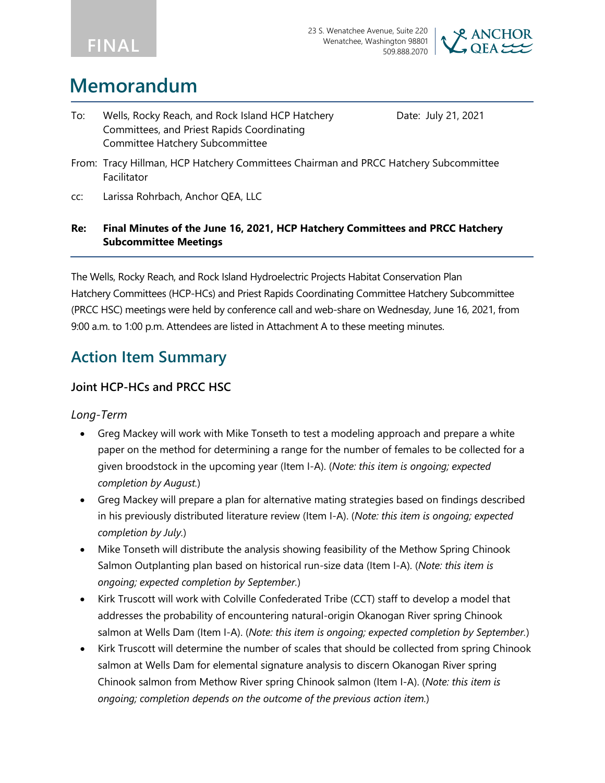



## **Memorandum**

To: Wells, Rocky Reach, and Rock Island HCP Hatchery Committees, and Priest Rapids Coordinating Committee Hatchery Subcommittee

Date: July 21, 2021

- From: Tracy Hillman, HCP Hatchery Committees Chairman and PRCC Hatchery Subcommittee Facilitator
- cc: Larissa Rohrbach, Anchor QEA, LLC

### **Re: Final Minutes of the June 16, 2021, HCP Hatchery Committees and PRCC Hatchery Subcommittee Meetings**

The Wells, Rocky Reach, and Rock Island Hydroelectric Projects Habitat Conservation Plan Hatchery Committees (HCP-HCs) and Priest Rapids Coordinating Committee Hatchery Subcommittee (PRCC HSC) meetings were held by conference call and web-share on Wednesday, June 16, 2021, from 9:00 a.m. to 1:00 p.m. Attendees are listed in Attachment A to these meeting minutes.

## **Action Item Summary**

### **Joint HCP-HCs and PRCC HSC**

### *Long-Term*

- Greg Mackey will work with Mike Tonseth to test a modeling approach and prepare a white paper on the method for determining a range for the number of females to be collected for a given broodstock in the upcoming year (Item I-A). (*Note: this item is ongoing; expected completion by August.*)
- Greg Mackey will prepare a plan for alternative mating strategies based on findings described in his previously distributed literature review (Item I-A). (*Note: this item is ongoing; expected completion by July.*)
- Mike Tonseth will distribute the analysis showing feasibility of the Methow Spring Chinook Salmon Outplanting plan based on historical run-size data (Item I-A). (*Note: this item is ongoing; expected completion by September.*)
- Kirk Truscott will work with Colville Confederated Tribe (CCT) staff to develop a model that addresses the probability of encountering natural-origin Okanogan River spring Chinook salmon at Wells Dam (Item I-A). (*Note: this item is ongoing; expected completion by September.*)
- Kirk Truscott will determine the number of scales that should be collected from spring Chinook salmon at Wells Dam for elemental signature analysis to discern Okanogan River spring Chinook salmon from Methow River spring Chinook salmon (Item I-A). (*Note: this item is ongoing; completion depends on the outcome of the previous action item.*)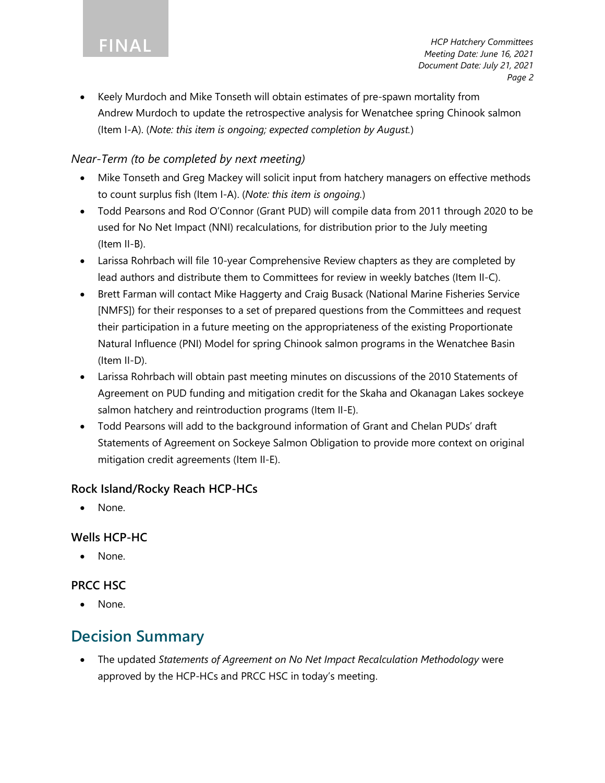• Keely Murdoch and Mike Tonseth will obtain estimates of pre-spawn mortality from Andrew Murdoch to update the retrospective analysis for Wenatchee spring Chinook salmon (Item I-A). (*Note: this item is ongoing; expected completion by August.*)

### *Near-Term (to be completed by next meeting)*

- Mike Tonseth and Greg Mackey will solicit input from hatchery managers on effective methods to count surplus fish (Item I-A). (*Note: this item is ongoing.*)
- Todd Pearsons and Rod O'Connor (Grant PUD) will compile data from 2011 through 2020 to be used for No Net Impact (NNI) recalculations, for distribution prior to the July meeting (Item II-B).
- Larissa Rohrbach will file 10-year Comprehensive Review chapters as they are completed by lead authors and distribute them to Committees for review in weekly batches (Item II-C).
- Brett Farman will contact Mike Haggerty and Craig Busack (National Marine Fisheries Service [NMFS]) for their responses to a set of prepared questions from the Committees and request their participation in a future meeting on the appropriateness of the existing Proportionate Natural Influence (PNI) Model for spring Chinook salmon programs in the Wenatchee Basin (Item II-D).
- Larissa Rohrbach will obtain past meeting minutes on discussions of the 2010 Statements of Agreement on PUD funding and mitigation credit for the Skaha and Okanagan Lakes sockeye salmon hatchery and reintroduction programs (Item II-E).
- Todd Pearsons will add to the background information of Grant and Chelan PUDs' draft Statements of Agreement on Sockeye Salmon Obligation to provide more context on original mitigation credit agreements (Item II-E).

### **Rock Island/Rocky Reach HCP-HCs**

• None.

### **Wells HCP-HC**

None.

### **PRCC HSC**

None.

## **Decision Summary**

• The updated *Statements of Agreement on No Net Impact Recalculation Methodology* were approved by the HCP-HCs and PRCC HSC in today's meeting.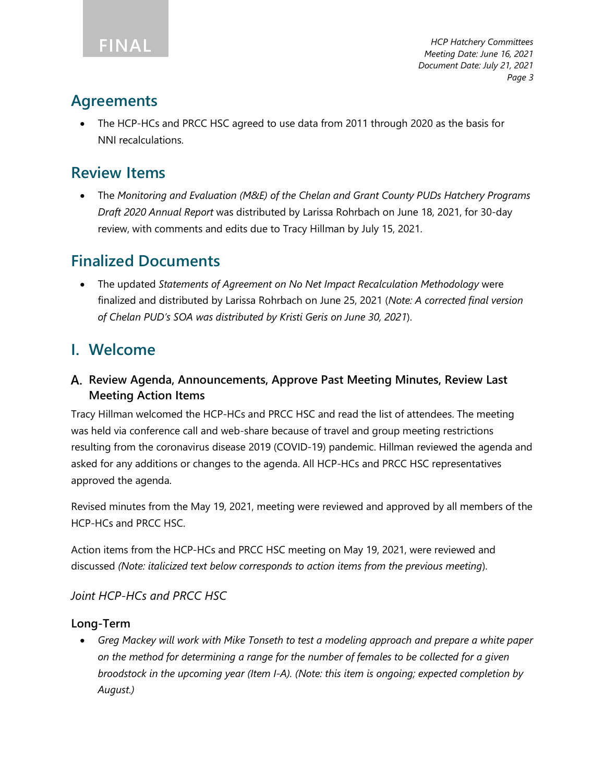## **Agreements**

• The HCP-HCs and PRCC HSC agreed to use data from 2011 through 2020 as the basis for NNI recalculations.

## **Review Items**

• The *Monitoring and Evaluation (M&E) of the Chelan and Grant County PUDs Hatchery Programs Draft 2020 Annual Report* was distributed by Larissa Rohrbach on June 18, 2021, for 30-day review, with comments and edits due to Tracy Hillman by July 15, 2021.

## **Finalized Documents**

• The updated *Statements of Agreement on No Net Impact Recalculation Methodology* were finalized and distributed by Larissa Rohrbach on June 25, 2021 (*Note: A corrected final version of Chelan PUD's SOA was distributed by Kristi Geris on June 30, 2021*).

## **I. Welcome**

## **Review Agenda, Announcements, Approve Past Meeting Minutes, Review Last Meeting Action Items**

Tracy Hillman welcomed the HCP-HCs and PRCC HSC and read the list of attendees. The meeting was held via conference call and web-share because of travel and group meeting restrictions resulting from the coronavirus disease 2019 (COVID-19) pandemic. Hillman reviewed the agenda and asked for any additions or changes to the agenda. All HCP-HCs and PRCC HSC representatives approved the agenda.

Revised minutes from the May 19, 2021, meeting were reviewed and approved by all members of the HCP-HCs and PRCC HSC.

Action items from the HCP-HCs and PRCC HSC meeting on May 19, 2021, were reviewed and discussed *(Note: italicized text below corresponds to action items from the previous meeting*).

## *Joint HCP-HCs and PRCC HSC*

## **Long-Term**

• *Greg Mackey will work with Mike Tonseth to test a modeling approach and prepare a white paper on the method for determining a range for the number of females to be collected for a given broodstock in the upcoming year (Item I-A). (Note: this item is ongoing; expected completion by August.)*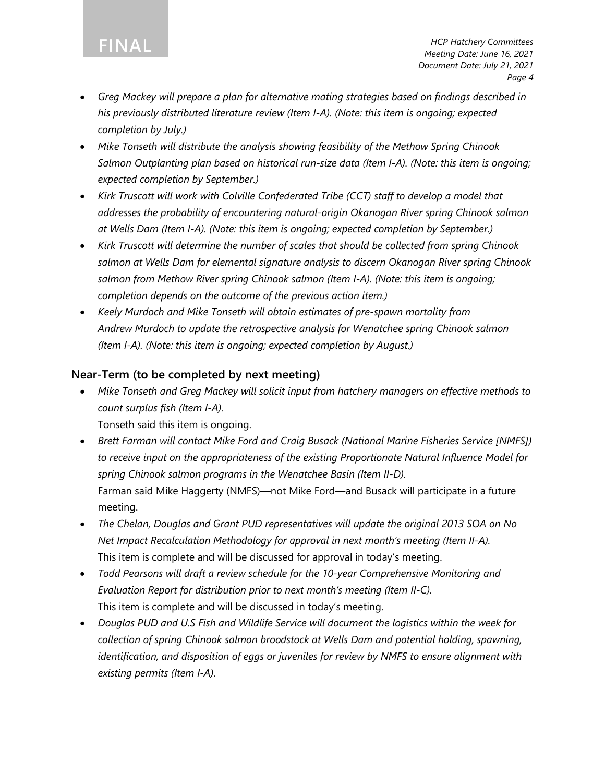**FINAL**

- *Greg Mackey will prepare a plan for alternative mating strategies based on findings described in his previously distributed literature review (Item I-A). (Note: this item is ongoing; expected completion by July.)*
- *Mike Tonseth will distribute the analysis showing feasibility of the Methow Spring Chinook Salmon Outplanting plan based on historical run-size data (Item I-A). (Note: this item is ongoing; expected completion by September.)*
- *Kirk Truscott will work with Colville Confederated Tribe (CCT) staff to develop a model that addresses the probability of encountering natural-origin Okanogan River spring Chinook salmon at Wells Dam (Item I-A). (Note: this item is ongoing; expected completion by September.)*
- *Kirk Truscott will determine the number of scales that should be collected from spring Chinook salmon at Wells Dam for elemental signature analysis to discern Okanogan River spring Chinook salmon from Methow River spring Chinook salmon (Item I-A). (Note: this item is ongoing; completion depends on the outcome of the previous action item.)*
- *Keely Murdoch and Mike Tonseth will obtain estimates of pre-spawn mortality from Andrew Murdoch to update the retrospective analysis for Wenatchee spring Chinook salmon (Item I-A). (Note: this item is ongoing; expected completion by August.)*

### **Near-Term (to be completed by next meeting)**

• *Mike Tonseth and Greg Mackey will solicit input from hatchery managers on effective methods to count surplus fish (Item I-A).*

Tonseth said this item is ongoing.

- *Brett Farman will contact Mike Ford and Craig Busack (National Marine Fisheries Service [NMFS]) to receive input on the appropriateness of the existing Proportionate Natural Influence Model for spring Chinook salmon programs in the Wenatchee Basin (Item II-D).* Farman said Mike Haggerty (NMFS)—not Mike Ford—and Busack will participate in a future meeting.
- *The Chelan, Douglas and Grant PUD representatives will update the original 2013 SOA on No Net Impact Recalculation Methodology for approval in next month's meeting (Item II-A).* This item is complete and will be discussed for approval in today's meeting.
- *Todd Pearsons will draft a review schedule for the 10-year Comprehensive Monitoring and Evaluation Report for distribution prior to next month's meeting (Item II-C).*  This item is complete and will be discussed in today's meeting.
- *Douglas PUD and U.S Fish and Wildlife Service will document the logistics within the week for collection of spring Chinook salmon broodstock at Wells Dam and potential holding, spawning, identification, and disposition of eggs or juveniles for review by NMFS to ensure alignment with existing permits (Item I-A).*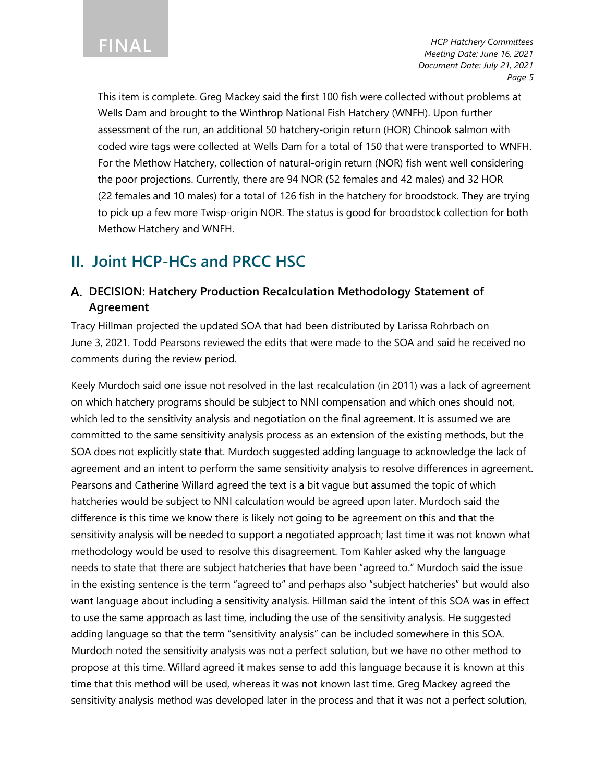This item is complete. Greg Mackey said the first 100 fish were collected without problems at Wells Dam and brought to the Winthrop National Fish Hatchery (WNFH). Upon further assessment of the run, an additional 50 hatchery-origin return (HOR) Chinook salmon with coded wire tags were collected at Wells Dam for a total of 150 that were transported to WNFH. For the Methow Hatchery, collection of natural-origin return (NOR) fish went well considering the poor projections. Currently, there are 94 NOR (52 females and 42 males) and 32 HOR (22 females and 10 males) for a total of 126 fish in the hatchery for broodstock. They are trying to pick up a few more Twisp-origin NOR. The status is good for broodstock collection for both Methow Hatchery and WNFH.

## **II. Joint HCP-HCs and PRCC HSC**

### **DECISION: Hatchery Production Recalculation Methodology Statement of Agreement**

Tracy Hillman projected the updated SOA that had been distributed by Larissa Rohrbach on June 3, 2021. Todd Pearsons reviewed the edits that were made to the SOA and said he received no comments during the review period.

Keely Murdoch said one issue not resolved in the last recalculation (in 2011) was a lack of agreement on which hatchery programs should be subject to NNI compensation and which ones should not, which led to the sensitivity analysis and negotiation on the final agreement. It is assumed we are committed to the same sensitivity analysis process as an extension of the existing methods, but the SOA does not explicitly state that. Murdoch suggested adding language to acknowledge the lack of agreement and an intent to perform the same sensitivity analysis to resolve differences in agreement. Pearsons and Catherine Willard agreed the text is a bit vague but assumed the topic of which hatcheries would be subject to NNI calculation would be agreed upon later. Murdoch said the difference is this time we know there is likely not going to be agreement on this and that the sensitivity analysis will be needed to support a negotiated approach; last time it was not known what methodology would be used to resolve this disagreement. Tom Kahler asked why the language needs to state that there are subject hatcheries that have been "agreed to." Murdoch said the issue in the existing sentence is the term "agreed to" and perhaps also "subject hatcheries" but would also want language about including a sensitivity analysis. Hillman said the intent of this SOA was in effect to use the same approach as last time, including the use of the sensitivity analysis. He suggested adding language so that the term "sensitivity analysis" can be included somewhere in this SOA. Murdoch noted the sensitivity analysis was not a perfect solution, but we have no other method to propose at this time. Willard agreed it makes sense to add this language because it is known at this time that this method will be used, whereas it was not known last time. Greg Mackey agreed the sensitivity analysis method was developed later in the process and that it was not a perfect solution,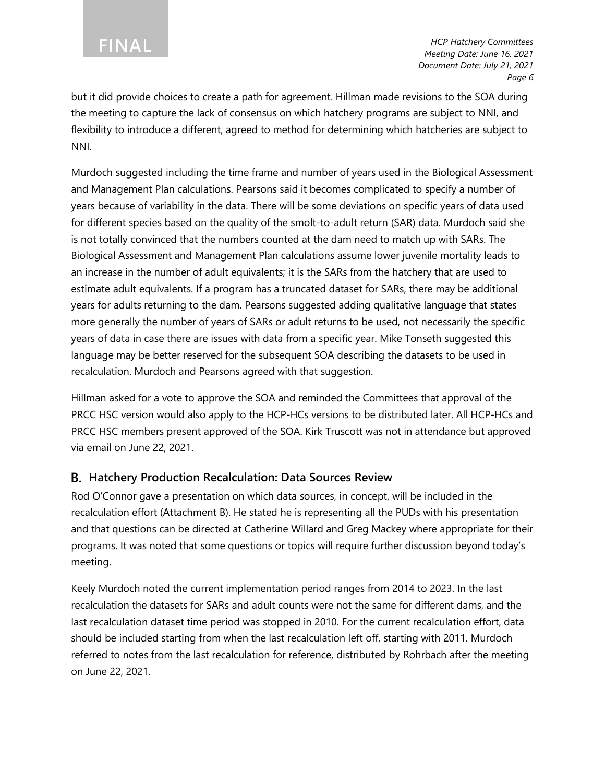but it did provide choices to create a path for agreement. Hillman made revisions to the SOA during the meeting to capture the lack of consensus on which hatchery programs are subject to NNI, and flexibility to introduce a different, agreed to method for determining which hatcheries are subject to NNI.

Murdoch suggested including the time frame and number of years used in the Biological Assessment and Management Plan calculations. Pearsons said it becomes complicated to specify a number of years because of variability in the data. There will be some deviations on specific years of data used for different species based on the quality of the smolt-to-adult return (SAR) data. Murdoch said she is not totally convinced that the numbers counted at the dam need to match up with SARs. The Biological Assessment and Management Plan calculations assume lower juvenile mortality leads to an increase in the number of adult equivalents; it is the SARs from the hatchery that are used to estimate adult equivalents. If a program has a truncated dataset for SARs, there may be additional years for adults returning to the dam. Pearsons suggested adding qualitative language that states more generally the number of years of SARs or adult returns to be used, not necessarily the specific years of data in case there are issues with data from a specific year. Mike Tonseth suggested this language may be better reserved for the subsequent SOA describing the datasets to be used in recalculation. Murdoch and Pearsons agreed with that suggestion.

Hillman asked for a vote to approve the SOA and reminded the Committees that approval of the PRCC HSC version would also apply to the HCP-HCs versions to be distributed later. All HCP-HCs and PRCC HSC members present approved of the SOA. Kirk Truscott was not in attendance but approved via email on June 22, 2021.

### **Hatchery Production Recalculation: Data Sources Review**

Rod O'Connor gave a presentation on which data sources, in concept, will be included in the recalculation effort (Attachment B). He stated he is representing all the PUDs with his presentation and that questions can be directed at Catherine Willard and Greg Mackey where appropriate for their programs. It was noted that some questions or topics will require further discussion beyond today's meeting.

Keely Murdoch noted the current implementation period ranges from 2014 to 2023. In the last recalculation the datasets for SARs and adult counts were not the same for different dams, and the last recalculation dataset time period was stopped in 2010. For the current recalculation effort, data should be included starting from when the last recalculation left off, starting with 2011. Murdoch referred to notes from the last recalculation for reference, distributed by Rohrbach after the meeting on June 22, 2021.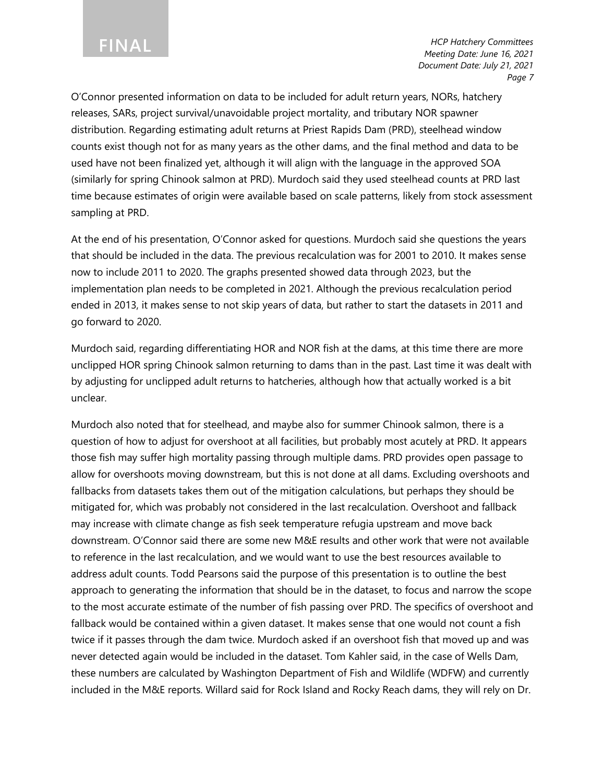O'Connor presented information on data to be included for adult return years, NORs, hatchery releases, SARs, project survival/unavoidable project mortality, and tributary NOR spawner distribution. Regarding estimating adult returns at Priest Rapids Dam (PRD), steelhead window counts exist though not for as many years as the other dams, and the final method and data to be used have not been finalized yet, although it will align with the language in the approved SOA (similarly for spring Chinook salmon at PRD). Murdoch said they used steelhead counts at PRD last time because estimates of origin were available based on scale patterns, likely from stock assessment sampling at PRD.

At the end of his presentation, O'Connor asked for questions. Murdoch said she questions the years that should be included in the data. The previous recalculation was for 2001 to 2010. It makes sense now to include 2011 to 2020. The graphs presented showed data through 2023, but the implementation plan needs to be completed in 2021. Although the previous recalculation period ended in 2013, it makes sense to not skip years of data, but rather to start the datasets in 2011 and go forward to 2020.

Murdoch said, regarding differentiating HOR and NOR fish at the dams, at this time there are more unclipped HOR spring Chinook salmon returning to dams than in the past. Last time it was dealt with by adjusting for unclipped adult returns to hatcheries, although how that actually worked is a bit unclear.

Murdoch also noted that for steelhead, and maybe also for summer Chinook salmon, there is a question of how to adjust for overshoot at all facilities, but probably most acutely at PRD. It appears those fish may suffer high mortality passing through multiple dams. PRD provides open passage to allow for overshoots moving downstream, but this is not done at all dams. Excluding overshoots and fallbacks from datasets takes them out of the mitigation calculations, but perhaps they should be mitigated for, which was probably not considered in the last recalculation. Overshoot and fallback may increase with climate change as fish seek temperature refugia upstream and move back downstream. O'Connor said there are some new M&E results and other work that were not available to reference in the last recalculation, and we would want to use the best resources available to address adult counts. Todd Pearsons said the purpose of this presentation is to outline the best approach to generating the information that should be in the dataset, to focus and narrow the scope to the most accurate estimate of the number of fish passing over PRD. The specifics of overshoot and fallback would be contained within a given dataset. It makes sense that one would not count a fish twice if it passes through the dam twice. Murdoch asked if an overshoot fish that moved up and was never detected again would be included in the dataset. Tom Kahler said, in the case of Wells Dam, these numbers are calculated by Washington Department of Fish and Wildlife (WDFW) and currently included in the M&E reports. Willard said for Rock Island and Rocky Reach dams, they will rely on Dr.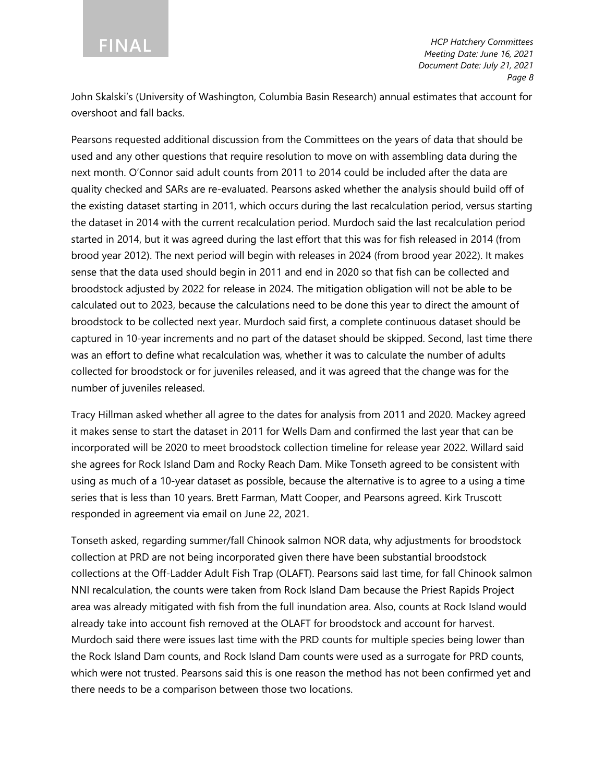John Skalski's (University of Washington, Columbia Basin Research) annual estimates that account for overshoot and fall backs.

Pearsons requested additional discussion from the Committees on the years of data that should be used and any other questions that require resolution to move on with assembling data during the next month. O'Connor said adult counts from 2011 to 2014 could be included after the data are quality checked and SARs are re-evaluated. Pearsons asked whether the analysis should build off of the existing dataset starting in 2011, which occurs during the last recalculation period, versus starting the dataset in 2014 with the current recalculation period. Murdoch said the last recalculation period started in 2014, but it was agreed during the last effort that this was for fish released in 2014 (from brood year 2012). The next period will begin with releases in 2024 (from brood year 2022). It makes sense that the data used should begin in 2011 and end in 2020 so that fish can be collected and broodstock adjusted by 2022 for release in 2024. The mitigation obligation will not be able to be calculated out to 2023, because the calculations need to be done this year to direct the amount of broodstock to be collected next year. Murdoch said first, a complete continuous dataset should be captured in 10-year increments and no part of the dataset should be skipped. Second, last time there was an effort to define what recalculation was, whether it was to calculate the number of adults collected for broodstock or for juveniles released, and it was agreed that the change was for the number of juveniles released.

Tracy Hillman asked whether all agree to the dates for analysis from 2011 and 2020. Mackey agreed it makes sense to start the dataset in 2011 for Wells Dam and confirmed the last year that can be incorporated will be 2020 to meet broodstock collection timeline for release year 2022. Willard said she agrees for Rock Island Dam and Rocky Reach Dam. Mike Tonseth agreed to be consistent with using as much of a 10-year dataset as possible, because the alternative is to agree to a using a time series that is less than 10 years. Brett Farman, Matt Cooper, and Pearsons agreed. Kirk Truscott responded in agreement via email on June 22, 2021.

Tonseth asked, regarding summer/fall Chinook salmon NOR data, why adjustments for broodstock collection at PRD are not being incorporated given there have been substantial broodstock collections at the Off-Ladder Adult Fish Trap (OLAFT). Pearsons said last time, for fall Chinook salmon NNI recalculation, the counts were taken from Rock Island Dam because the Priest Rapids Project area was already mitigated with fish from the full inundation area. Also, counts at Rock Island would already take into account fish removed at the OLAFT for broodstock and account for harvest. Murdoch said there were issues last time with the PRD counts for multiple species being lower than the Rock Island Dam counts, and Rock Island Dam counts were used as a surrogate for PRD counts, which were not trusted. Pearsons said this is one reason the method has not been confirmed yet and there needs to be a comparison between those two locations.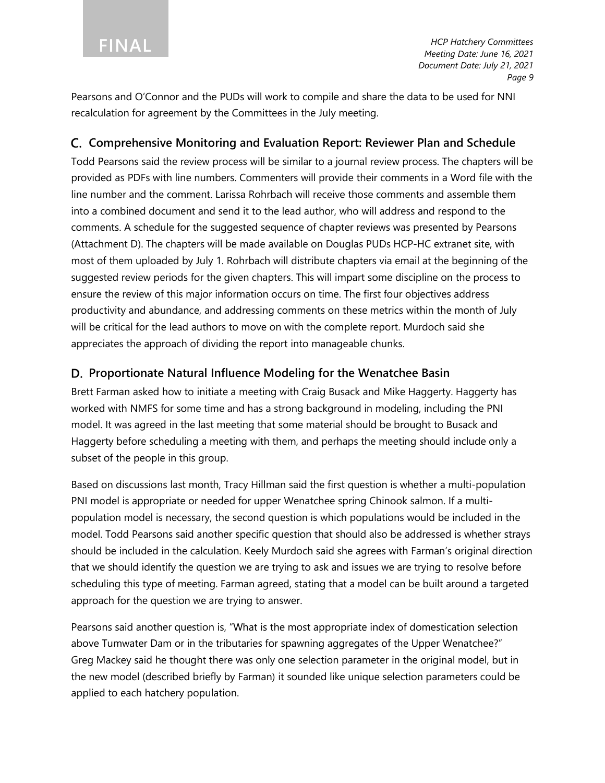Pearsons and O'Connor and the PUDs will work to compile and share the data to be used for NNI recalculation for agreement by the Committees in the July meeting.

### **Comprehensive Monitoring and Evaluation Report: Reviewer Plan and Schedule**

Todd Pearsons said the review process will be similar to a journal review process. The chapters will be provided as PDFs with line numbers. Commenters will provide their comments in a Word file with the line number and the comment. Larissa Rohrbach will receive those comments and assemble them into a combined document and send it to the lead author, who will address and respond to the comments. A schedule for the suggested sequence of chapter reviews was presented by Pearsons (Attachment D). The chapters will be made available on Douglas PUDs HCP-HC extranet site, with most of them uploaded by July 1. Rohrbach will distribute chapters via email at the beginning of the suggested review periods for the given chapters. This will impart some discipline on the process to ensure the review of this major information occurs on time. The first four objectives address productivity and abundance, and addressing comments on these metrics within the month of July will be critical for the lead authors to move on with the complete report. Murdoch said she appreciates the approach of dividing the report into manageable chunks.

### **Proportionate Natural Influence Modeling for the Wenatchee Basin**

Brett Farman asked how to initiate a meeting with Craig Busack and Mike Haggerty. Haggerty has worked with NMFS for some time and has a strong background in modeling, including the PNI model. It was agreed in the last meeting that some material should be brought to Busack and Haggerty before scheduling a meeting with them, and perhaps the meeting should include only a subset of the people in this group.

Based on discussions last month, Tracy Hillman said the first question is whether a multi-population PNI model is appropriate or needed for upper Wenatchee spring Chinook salmon. If a multipopulation model is necessary, the second question is which populations would be included in the model. Todd Pearsons said another specific question that should also be addressed is whether strays should be included in the calculation. Keely Murdoch said she agrees with Farman's original direction that we should identify the question we are trying to ask and issues we are trying to resolve before scheduling this type of meeting. Farman agreed, stating that a model can be built around a targeted approach for the question we are trying to answer.

Pearsons said another question is, "What is the most appropriate index of domestication selection above Tumwater Dam or in the tributaries for spawning aggregates of the Upper Wenatchee?" Greg Mackey said he thought there was only one selection parameter in the original model, but in the new model (described briefly by Farman) it sounded like unique selection parameters could be applied to each hatchery population.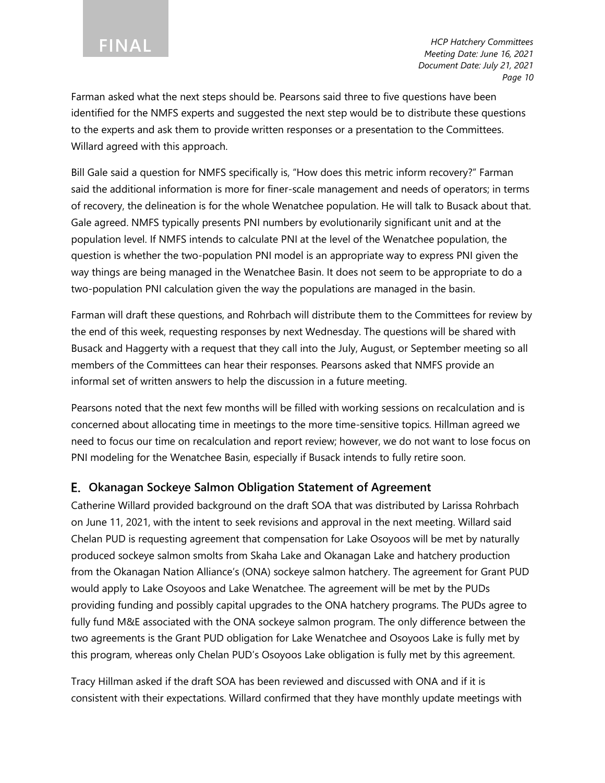Farman asked what the next steps should be. Pearsons said three to five questions have been identified for the NMFS experts and suggested the next step would be to distribute these questions to the experts and ask them to provide written responses or a presentation to the Committees. Willard agreed with this approach.

Bill Gale said a question for NMFS specifically is, "How does this metric inform recovery?" Farman said the additional information is more for finer-scale management and needs of operators; in terms of recovery, the delineation is for the whole Wenatchee population. He will talk to Busack about that. Gale agreed. NMFS typically presents PNI numbers by evolutionarily significant unit and at the population level. If NMFS intends to calculate PNI at the level of the Wenatchee population, the question is whether the two-population PNI model is an appropriate way to express PNI given the way things are being managed in the Wenatchee Basin. It does not seem to be appropriate to do a two-population PNI calculation given the way the populations are managed in the basin.

Farman will draft these questions, and Rohrbach will distribute them to the Committees for review by the end of this week, requesting responses by next Wednesday. The questions will be shared with Busack and Haggerty with a request that they call into the July, August, or September meeting so all members of the Committees can hear their responses. Pearsons asked that NMFS provide an informal set of written answers to help the discussion in a future meeting.

Pearsons noted that the next few months will be filled with working sessions on recalculation and is concerned about allocating time in meetings to the more time-sensitive topics. Hillman agreed we need to focus our time on recalculation and report review; however, we do not want to lose focus on PNI modeling for the Wenatchee Basin, especially if Busack intends to fully retire soon.

### **Okanagan Sockeye Salmon Obligation Statement of Agreement**

Catherine Willard provided background on the draft SOA that was distributed by Larissa Rohrbach on June 11, 2021, with the intent to seek revisions and approval in the next meeting. Willard said Chelan PUD is requesting agreement that compensation for Lake Osoyoos will be met by naturally produced sockeye salmon smolts from Skaha Lake and Okanagan Lake and hatchery production from the Okanagan Nation Alliance's (ONA) sockeye salmon hatchery. The agreement for Grant PUD would apply to Lake Osoyoos and Lake Wenatchee. The agreement will be met by the PUDs providing funding and possibly capital upgrades to the ONA hatchery programs. The PUDs agree to fully fund M&E associated with the ONA sockeye salmon program. The only difference between the two agreements is the Grant PUD obligation for Lake Wenatchee and Osoyoos Lake is fully met by this program, whereas only Chelan PUD's Osoyoos Lake obligation is fully met by this agreement.

Tracy Hillman asked if the draft SOA has been reviewed and discussed with ONA and if it is consistent with their expectations. Willard confirmed that they have monthly update meetings with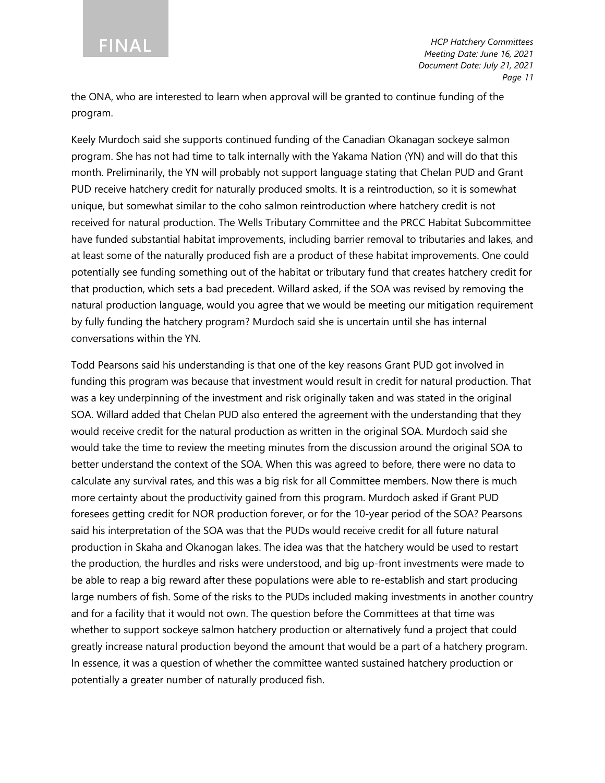the ONA, who are interested to learn when approval will be granted to continue funding of the program.

Keely Murdoch said she supports continued funding of the Canadian Okanagan sockeye salmon program. She has not had time to talk internally with the Yakama Nation (YN) and will do that this month. Preliminarily, the YN will probably not support language stating that Chelan PUD and Grant PUD receive hatchery credit for naturally produced smolts. It is a reintroduction, so it is somewhat unique, but somewhat similar to the coho salmon reintroduction where hatchery credit is not received for natural production. The Wells Tributary Committee and the PRCC Habitat Subcommittee have funded substantial habitat improvements, including barrier removal to tributaries and lakes, and at least some of the naturally produced fish are a product of these habitat improvements. One could potentially see funding something out of the habitat or tributary fund that creates hatchery credit for that production, which sets a bad precedent. Willard asked, if the SOA was revised by removing the natural production language, would you agree that we would be meeting our mitigation requirement by fully funding the hatchery program? Murdoch said she is uncertain until she has internal conversations within the YN.

Todd Pearsons said his understanding is that one of the key reasons Grant PUD got involved in funding this program was because that investment would result in credit for natural production. That was a key underpinning of the investment and risk originally taken and was stated in the original SOA. Willard added that Chelan PUD also entered the agreement with the understanding that they would receive credit for the natural production as written in the original SOA. Murdoch said she would take the time to review the meeting minutes from the discussion around the original SOA to better understand the context of the SOA. When this was agreed to before, there were no data to calculate any survival rates, and this was a big risk for all Committee members. Now there is much more certainty about the productivity gained from this program. Murdoch asked if Grant PUD foresees getting credit for NOR production forever, or for the 10-year period of the SOA? Pearsons said his interpretation of the SOA was that the PUDs would receive credit for all future natural production in Skaha and Okanogan lakes. The idea was that the hatchery would be used to restart the production, the hurdles and risks were understood, and big up-front investments were made to be able to reap a big reward after these populations were able to re-establish and start producing large numbers of fish. Some of the risks to the PUDs included making investments in another country and for a facility that it would not own. The question before the Committees at that time was whether to support sockeye salmon hatchery production or alternatively fund a project that could greatly increase natural production beyond the amount that would be a part of a hatchery program. In essence, it was a question of whether the committee wanted sustained hatchery production or potentially a greater number of naturally produced fish.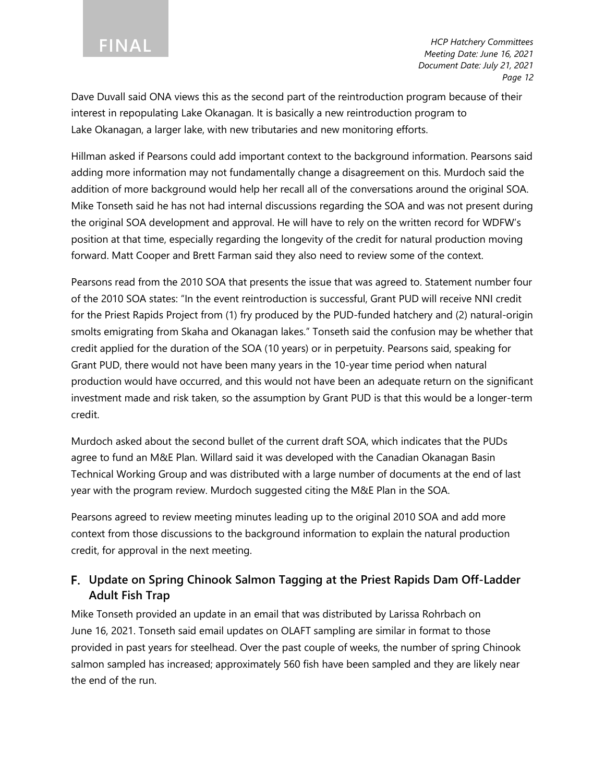Dave Duvall said ONA views this as the second part of the reintroduction program because of their interest in repopulating Lake Okanagan. It is basically a new reintroduction program to Lake Okanagan, a larger lake, with new tributaries and new monitoring efforts.

Hillman asked if Pearsons could add important context to the background information. Pearsons said adding more information may not fundamentally change a disagreement on this. Murdoch said the addition of more background would help her recall all of the conversations around the original SOA. Mike Tonseth said he has not had internal discussions regarding the SOA and was not present during the original SOA development and approval. He will have to rely on the written record for WDFW's position at that time, especially regarding the longevity of the credit for natural production moving forward. Matt Cooper and Brett Farman said they also need to review some of the context.

Pearsons read from the 2010 SOA that presents the issue that was agreed to. Statement number four of the 2010 SOA states: "In the event reintroduction is successful, Grant PUD will receive NNI credit for the Priest Rapids Project from (1) fry produced by the PUD-funded hatchery and (2) natural-origin smolts emigrating from Skaha and Okanagan lakes." Tonseth said the confusion may be whether that credit applied for the duration of the SOA (10 years) or in perpetuity. Pearsons said, speaking for Grant PUD, there would not have been many years in the 10-year time period when natural production would have occurred, and this would not have been an adequate return on the significant investment made and risk taken, so the assumption by Grant PUD is that this would be a longer-term credit.

Murdoch asked about the second bullet of the current draft SOA, which indicates that the PUDs agree to fund an M&E Plan. Willard said it was developed with the Canadian Okanagan Basin Technical Working Group and was distributed with a large number of documents at the end of last year with the program review. Murdoch suggested citing the M&E Plan in the SOA.

Pearsons agreed to review meeting minutes leading up to the original 2010 SOA and add more context from those discussions to the background information to explain the natural production credit, for approval in the next meeting.

## **Update on Spring Chinook Salmon Tagging at the Priest Rapids Dam Off-Ladder Adult Fish Trap**

Mike Tonseth provided an update in an email that was distributed by Larissa Rohrbach on June 16, 2021. Tonseth said email updates on OLAFT sampling are similar in format to those provided in past years for steelhead. Over the past couple of weeks, the number of spring Chinook salmon sampled has increased; approximately 560 fish have been sampled and they are likely near the end of the run.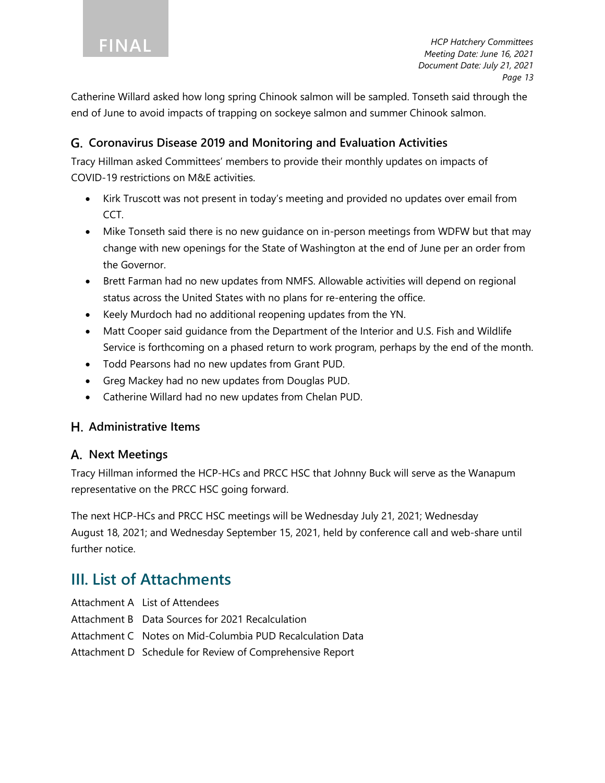Catherine Willard asked how long spring Chinook salmon will be sampled. Tonseth said through the end of June to avoid impacts of trapping on sockeye salmon and summer Chinook salmon.

### **Coronavirus Disease 2019 and Monitoring and Evaluation Activities**

Tracy Hillman asked Committees' members to provide their monthly updates on impacts of COVID-19 restrictions on M&E activities.

- Kirk Truscott was not present in today's meeting and provided no updates over email from CCT.
- Mike Tonseth said there is no new guidance on in-person meetings from WDFW but that may change with new openings for the State of Washington at the end of June per an order from the Governor.
- Brett Farman had no new updates from NMFS. Allowable activities will depend on regional status across the United States with no plans for re-entering the office.
- Keely Murdoch had no additional reopening updates from the YN.
- Matt Cooper said guidance from the Department of the Interior and U.S. Fish and Wildlife Service is forthcoming on a phased return to work program, perhaps by the end of the month.
- Todd Pearsons had no new updates from Grant PUD.
- Greg Mackey had no new updates from Douglas PUD.
- Catherine Willard had no new updates from Chelan PUD.

### **Administrative Items**

### **Next Meetings**

Tracy Hillman informed the HCP-HCs and PRCC HSC that Johnny Buck will serve as the Wanapum representative on the PRCC HSC going forward.

The next HCP-HCs and PRCC HSC meetings will be Wednesday July 21, 2021; Wednesday August 18, 2021; and Wednesday September 15, 2021, held by conference call and web-share until further notice.

## **III. List of Attachments**

- Attachment A List of Attendees
- Attachment B Data Sources for 2021 Recalculation
- Attachment C Notes on Mid-Columbia PUD Recalculation Data
- Attachment D Schedule for Review of Comprehensive Report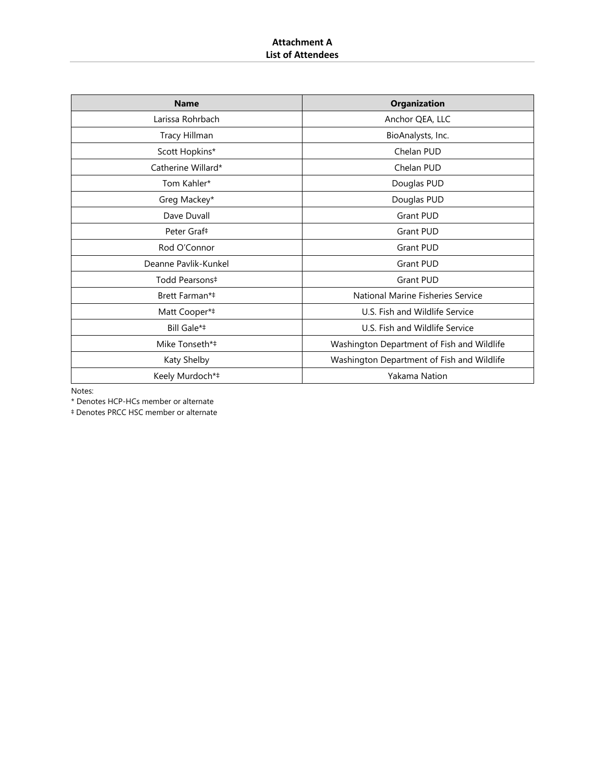#### **Attachment A List of Attendees**

| <b>Name</b>             | <b>Organization</b>                        |
|-------------------------|--------------------------------------------|
| Larissa Rohrbach        | Anchor QEA, LLC                            |
| Tracy Hillman           | BioAnalysts, Inc.                          |
| Scott Hopkins*          | Chelan PUD                                 |
| Catherine Willard*      | Chelan PUD                                 |
| Tom Kahler*             | Douglas PUD                                |
| Greg Mackey*            | Douglas PUD                                |
| Dave Duvall             | Grant PUD                                  |
| Peter Graf <sup>#</sup> | <b>Grant PUD</b>                           |
| Rod O'Connor            | Grant PUD                                  |
| Deanne Pavlik-Kunkel    | Grant PUD                                  |
| Todd Pearsons‡          | Grant PUD                                  |
| Brett Farman*‡          | National Marine Fisheries Service          |
| Matt Cooper*#           | U.S. Fish and Wildlife Service             |
| Bill Gale*‡             | U.S. Fish and Wildlife Service             |
| Mike Tonseth*‡          | Washington Department of Fish and Wildlife |
| Katy Shelby             | Washington Department of Fish and Wildlife |
| Keely Murdoch*‡         | Yakama Nation                              |

Notes:

\* Denotes HCP-HCs member or alternate

‡ Denotes PRCC HSC member or alternate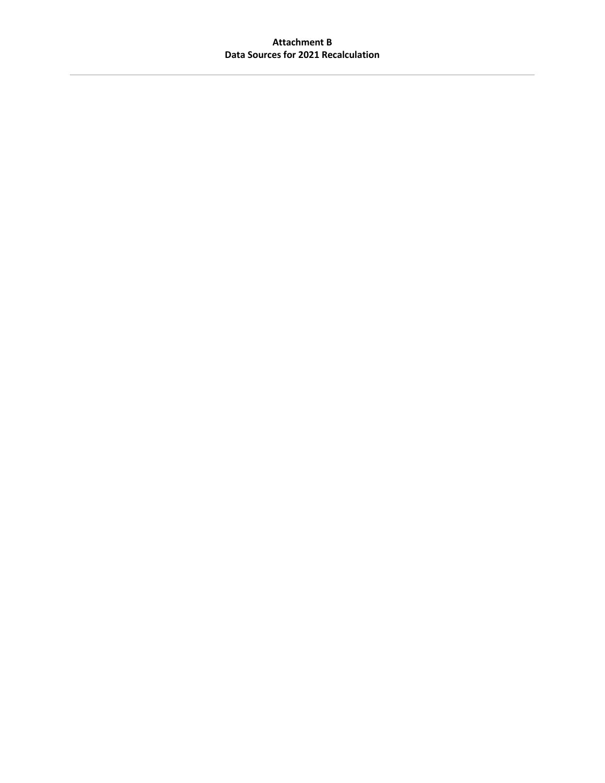#### **Attachment B Data Sources for 2021 Recalculation**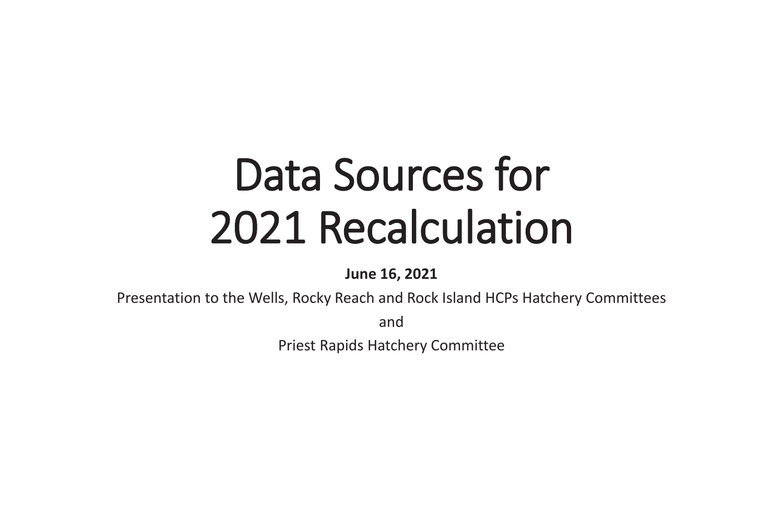# Data Sources for 2021 Recalculation

**June 16, 2021**

Presentation to the Wells, Rocky Reach and Rock Island HCPs Hatchery Committees

and

Priest Rapids Hatchery Committee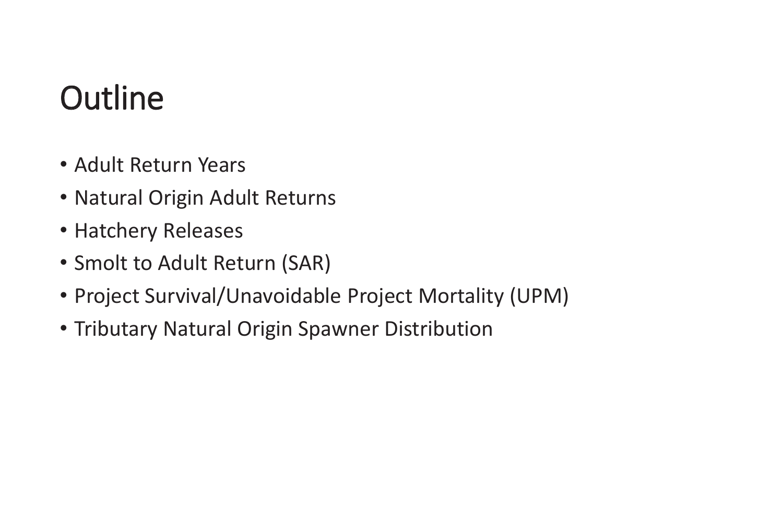# **Outline**

- Adult Return Years
- Natural Origin Adult Returns
- Hatchery Releases
- Smolt to Adult Return (SAR)
- •Project Survival/Unavoidable Project Mortality (UPM)
- Tributary Natural Origin Spawner Distribution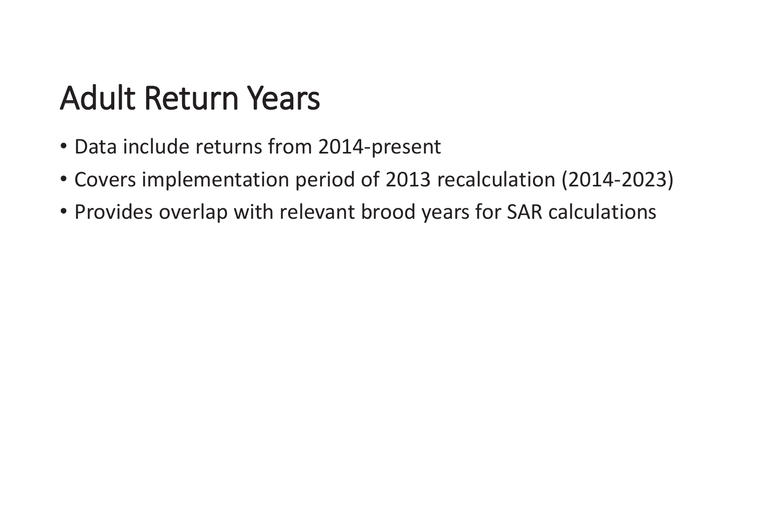# Adult Return Years

- Data include returns from 2014-present
- Covers implementation period of 2013 recalculation (2014-2023)
- Provides overlap with relevant brood years for SAR calculations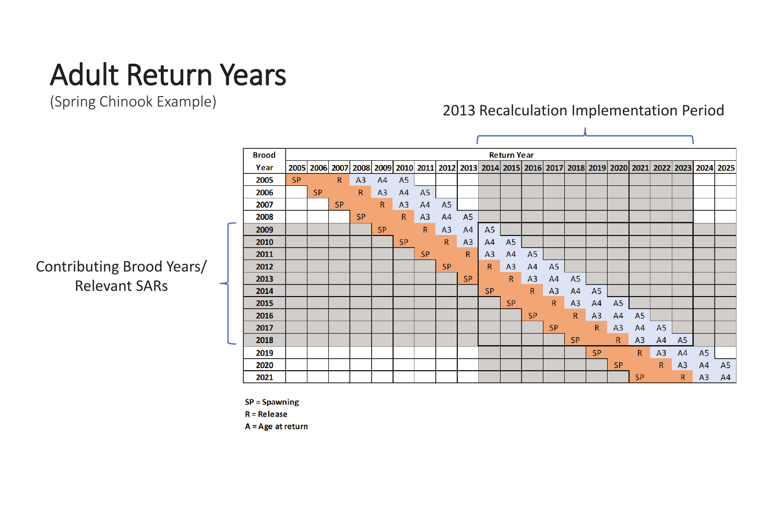# Adult Return Years

(Spring Chinook Example)

# Contributing Brood Years/ Relevant SARs

| <b>Brood</b> |           |           |           |             |              |                |                |                |                |                | <b>Return Year</b> |                     |                |                  |
|--------------|-----------|-----------|-----------|-------------|--------------|----------------|----------------|----------------|----------------|----------------|--------------------|---------------------|----------------|------------------|
| Year         |           | 2005 2006 | 2007      | 2008        |              | 2009 2010      | 2011           |                | 2012 2013      |                |                    | 2014 2015 2016 2017 |                | 20               |
| 2005         | <b>SP</b> |           | R         | A3          | A4           | A <sub>5</sub> |                |                |                |                |                    |                     |                |                  |
| 2006         |           | <b>SP</b> |           | $\mathsf R$ | A3           | A4             | A <sub>5</sub> |                |                |                |                    |                     |                |                  |
| 2007         |           |           | <b>SP</b> |             | $\mathsf{R}$ | A3             | A4             | A <sub>5</sub> |                |                |                    |                     |                |                  |
| 2008         |           |           |           | <b>SP</b>   |              | $\mathsf{R}$   | A3             | A4             | A <sub>5</sub> |                |                    |                     |                |                  |
| ÷<br>2009    |           |           |           |             | <b>SP</b>    |                | $\mathsf{R}$   | A3             | A4             | A <sub>5</sub> |                    |                     |                |                  |
| 2010         |           |           |           |             |              | <b>SP</b>      |                | $\mathsf{R}$   | A3             | A4             | A <sub>5</sub>     |                     |                |                  |
| 2011         |           |           |           |             |              |                | <b>SP</b>      |                | $\mathsf{R}$   | A <sub>3</sub> | A4                 | A <sub>5</sub>      |                |                  |
| 2012         |           |           |           |             |              |                |                | <b>SP</b>      |                | $\mathsf R$    | A3                 | A4                  | A <sub>5</sub> |                  |
| 2013         |           |           |           |             |              |                |                |                | <b>SP</b>      |                | $\mathsf{R}$       | A3                  | A4             | $\overline{\mu}$ |
| 2014         |           |           |           |             |              |                |                |                |                | <b>SP</b>      |                    | $\mathsf{R}$        | A3             | A                |
| 2015         |           |           |           |             |              |                |                |                |                |                | <b>SP</b>          |                     | $\mathsf{R}$   | A                |
| 2016         |           |           |           |             |              |                |                |                |                |                |                    | <b>SP</b>           |                |                  |
| 2017         |           |           |           |             |              |                |                |                |                |                |                    |                     | <b>SP</b>      |                  |
| 2018<br>÷    |           |           |           |             |              |                |                |                |                |                |                    |                     |                | S                |
| 2019         |           |           |           |             |              |                |                |                |                |                |                    |                     |                |                  |
| 2020         |           |           |           |             |              |                |                |                |                |                |                    |                     |                |                  |
| 2021         |           |           |           |             |              |                |                |                |                |                |                    |                     |                |                  |

 $SP = Spawning$ 

 $R =$ Release

 $A = Age$  at return

#### 018 2019 2020 2021 2022 2023 2024 2025 15  $A5$  $\sqrt{4}$  $A4$ **A5**  $\overline{3}$  $A4$  $A5$  $A3$ **A5**  $R$  $A3$  $A4$ **A5**  $\mathsf{R}$  $A3$  $A4$  $A3$  $A4$ **A5 SP**  $R$  $A3$  $A4$ **A5 SP**  $\mathsf{R}$  $A3$ **SP**  $R$  $A4$

## 2013 Recalculation Implementation Period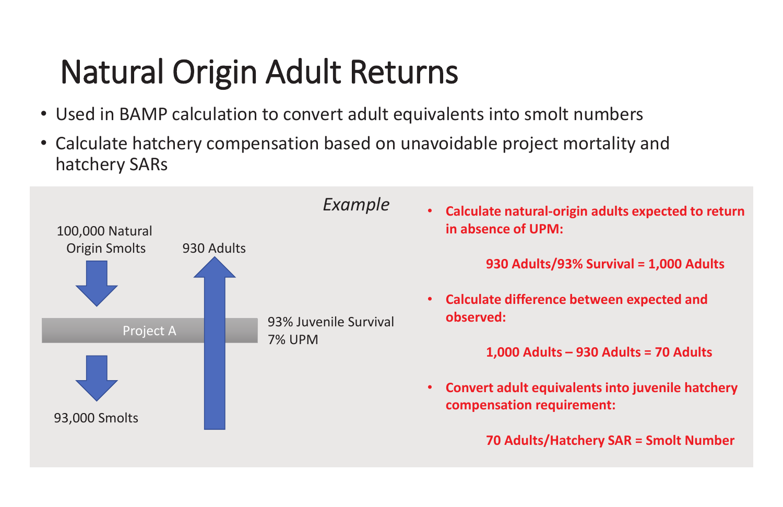# Natural Origin Adult Returns

- Used in BAMP calculation to convert adult equivalents into smolt numbers
- Calculate hatchery compensation based on unavoidable project mortality and hatchery SARs

**Calculate natural-origin adults expected to return** 

**930 Adults/93% Survival = 1,000 Adults**



**1,000 Adults – 930 Adults = 70 Adults**

**Convert adult equivalents into juvenile hatchery** 

**70 Adults/Hatchery SAR = Smolt Number**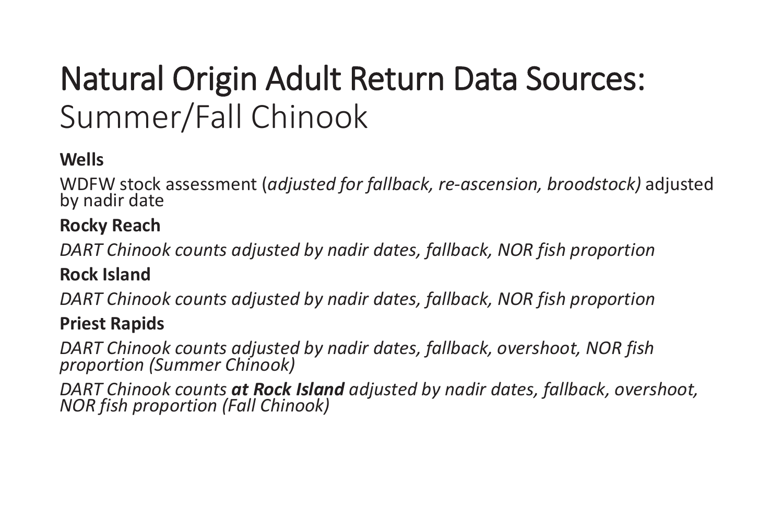# Natural Origin Adult Return Data Sources: Summer/Fall Chinook

# **Wells**

WDFW stock assessment (*adjusted for fallback, re-ascension, broodstock)* adjusted by nadir date

# **Rocky Reach**

*DART Chinook counts adjusted by nadir dates, fallback, NOR fish proportion* 

# **Rock Island**

*DART Chinook counts adjusted by nadir dates, fallback, NOR fish proportion* 

# **Priest Rapids**

*DART Chinook counts adjusted by nadir dates, fallback, overshoot, NOR fish proportion (Summer Chinook)*

*DART Chinook counts at Rock Island adjusted by nadir dates, fallback, overshoot, NOR fish proportion (Fall Chinook)*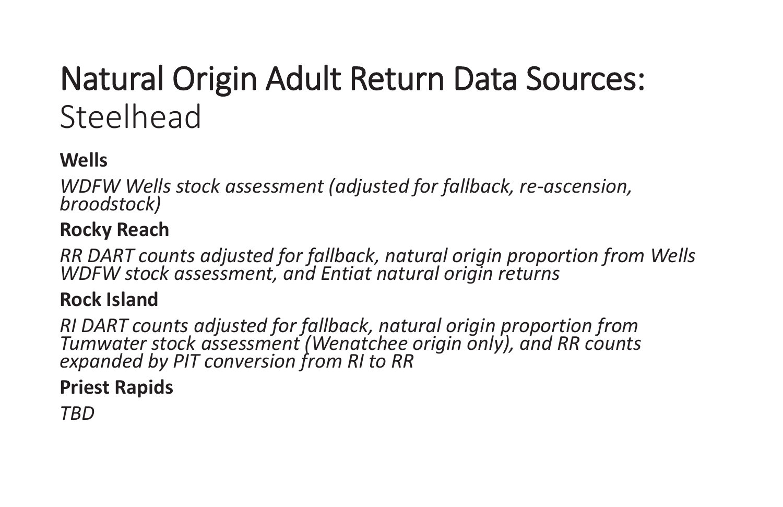# Natural Origin Adult Return Data Sources: Steelhead

# **Wells**

*WDFW Wells stock assessment (adjusted for fallback, re-ascension, broodstock)*

# **Rocky Reach**

*RR DART counts adjusted for fallback, natural origin proportion from Wells WDFW stock assessment, and Entiat natural origin returns*

# **Rock Island**

*RI DART counts adjusted for fallback, natural origin proportion from Tumwater stock assessment (Wenatchee origin only), and RR counts expanded by PIT conversion from RI to RR*

# **Priest Rapids**

*TBD*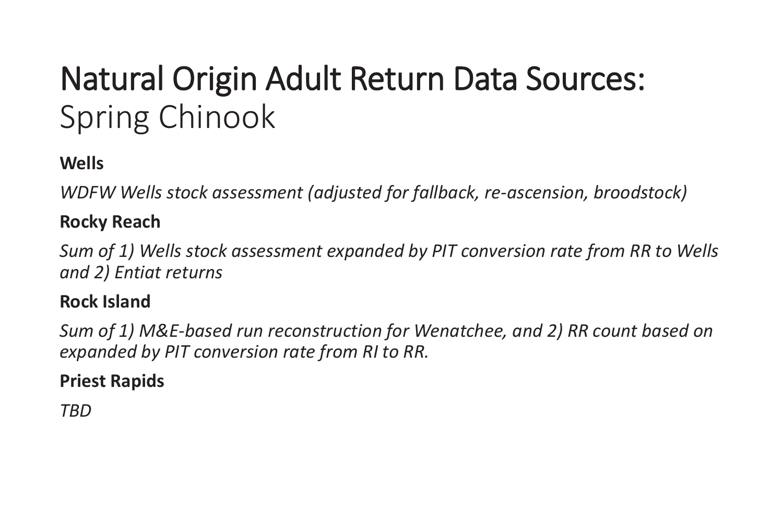# Natural Origin Adult Return Data Sources: Spring Chinook

# **Wells**

*WDFW Wells stock assessment (adjusted for fallback, re-ascension, broodstock)*

# **Rocky Reach**

*Sum of 1) Wells stock assessment expanded by PIT conversion rate from RR to Wells and 2) Entiat returns*

# **Rock Island**

*Sum of 1) M&E-based run reconstruction for Wenatchee, and 2) RR count based on expanded by PIT conversion rate from RI to RR.*

# **Priest Rapids**

*TBD*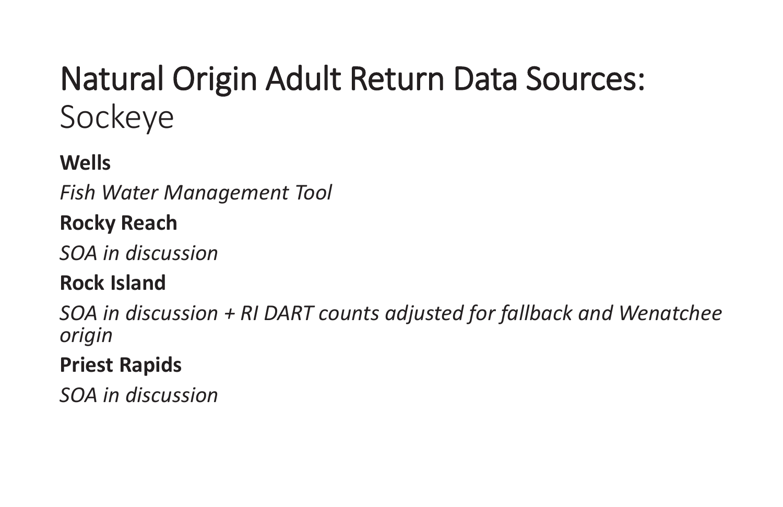# Natural Origin Adult Return Data Sources: Sockeye

# **Wells**

*Fish Water Management Tool*

# **Rocky Reach**

*SOA in discussion*

# **Rock Island**

*SOA in discussion + RI DART counts adjusted for fallback and Wenatchee origin*

# **Priest Rapids**

*SOA in discussion*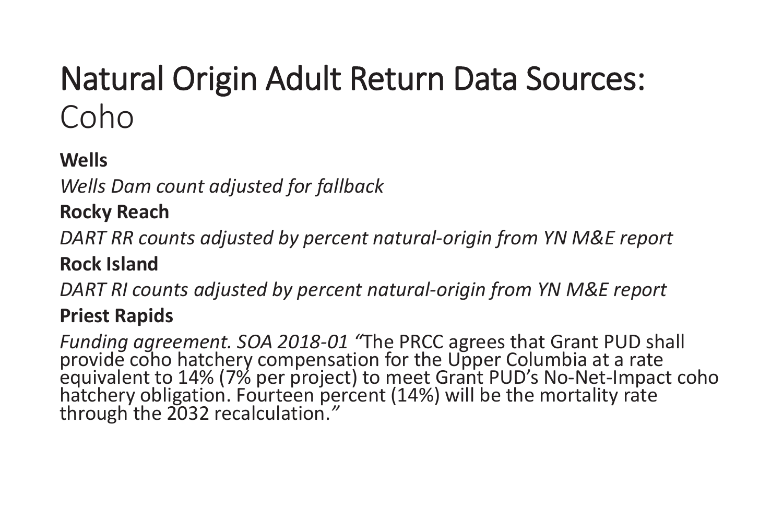# Natural Origin Adult Return Data Sources: Coho

# **Wells**

*Wells Dam count adjusted for fallback*

# **Rocky Reach**

*DART RR counts adjusted by percent natural-origin from YN M&E report*

# **Rock Island**

*DART RI counts adjusted by percent natural-origin from YN M&E report*

# **Priest Rapids**

Funding agreement. SOA 2018-01 "The PRCC agrees that Grant PUD shall<br>provide coho hatchery compensation for the Upper Columbia at a rate<br>equivalent to 14% (7% per project) to meet Grant PUD's No-Net-Impact coho<br>hatchery ob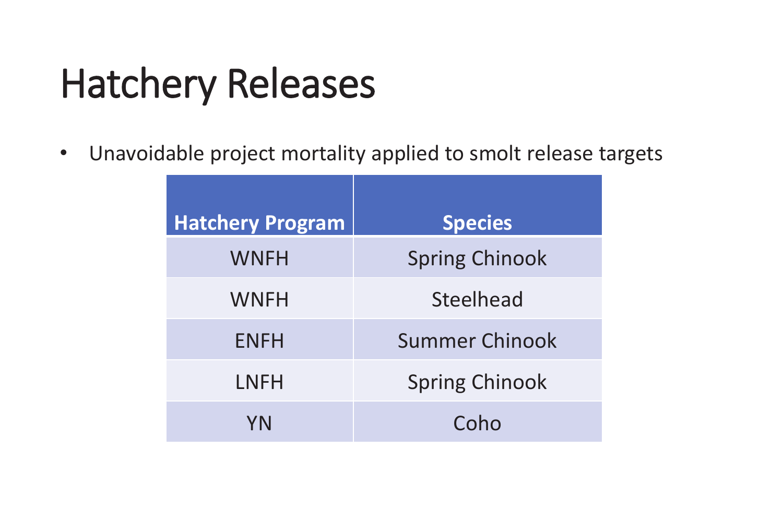# Hatchery Releases

| <b>Hatchery Program</b> | <b>Species</b>        |
|-------------------------|-----------------------|
| <b>WNFH</b>             | <b>Spring Chinook</b> |
| <b>WNFH</b>             | <b>Steelhead</b>      |
| <b>ENFH</b>             | <b>Summer Chinook</b> |
| LNFH                    | <b>Spring Chinook</b> |
| YN                      | Coho                  |



 $\bullet$ Unavoidable project mortality applied to smolt release targets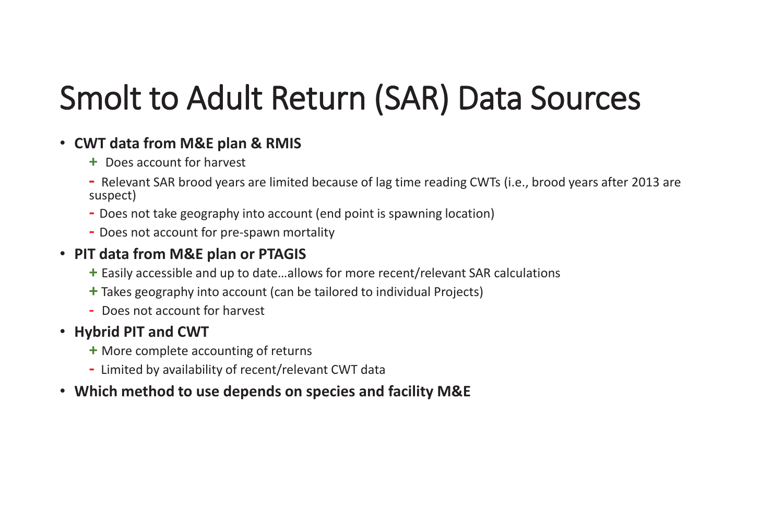# Smolt to Adult Return (SAR) Data Sources

# • **CWT data from M&E plan & RMIS**

- **+** Does account for harvest
- **-** Relevant SAR brood years are limited because of lag time reading CWTs (i.e., brood years after 2013 are suspect)
- **-** Does not take geography into account (end point is spawning location)
- **-** Does not account for pre-spawn mortality

# • **PIT data from M&E plan or PTAGIS**

- **+** Easily accessible and up to date…allows for more recent/relevant SAR calculations
- **+** Takes geography into account (can be tailored to individual Projects)
- **-** Does not account for harvest

# • **Hybrid PIT and CWT**

- **+** More complete accounting of returns
- **-** Limited by availability of recent/relevant CWT data
- **Which method to use depends on species and facility M&E**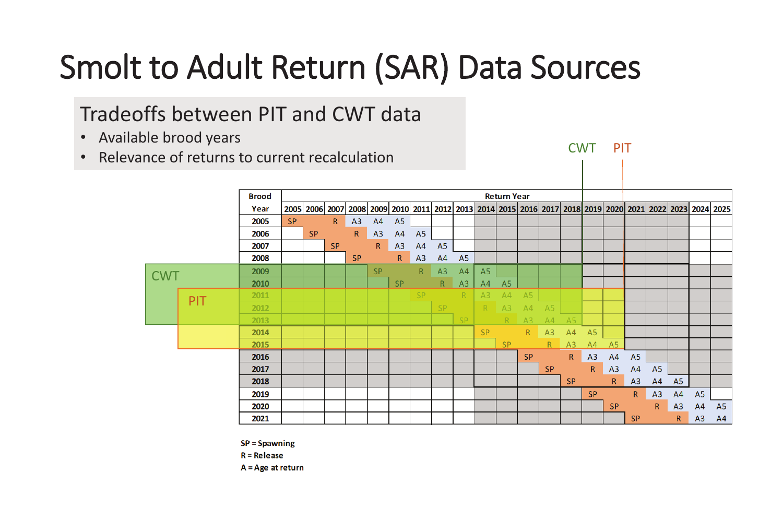# Smolt to Adult Return (SAR) Data Sources

# Tradeoffs between PIT and CWT data

|            |            | <b>Brood</b> | <b>Return Year</b> |                |              |              |                                                   |                |                |                |                |                |                |                |                |                |
|------------|------------|--------------|--------------------|----------------|--------------|--------------|---------------------------------------------------|----------------|----------------|----------------|----------------|----------------|----------------|----------------|----------------|----------------|
|            |            | Year         |                    | 2005 2006 2007 |              |              | 2008 2009 2010 2011 2012 2013 2014 2015 2016 2017 |                |                |                |                |                |                |                |                | 201            |
|            |            | 2005         | <b>SP</b>          |                | $\mathsf{R}$ | A3           | A4                                                | A <sub>5</sub> |                |                |                |                |                |                |                |                |
|            |            | 2006         |                    | <b>SP</b>      |              | $\mathsf{R}$ | A3                                                | A4             | A <sub>5</sub> |                |                |                |                |                |                |                |
|            |            | 2007         |                    |                | <b>SP</b>    |              | $\mathsf{R}$                                      | A3             | A4             | A <sub>5</sub> |                |                |                |                |                |                |
|            |            | 2008         |                    |                |              | <b>SP</b>    |                                                   | $\mathsf{R}$   | A3             | A4             | A <sub>5</sub> |                |                |                |                |                |
|            |            | 2009         |                    |                |              |              | <b>SP</b>                                         |                | $\mathsf{R}$   | A3             | AA             | A <sub>5</sub> |                |                |                |                |
| <b>CWT</b> |            | 2010         |                    |                |              |              |                                                   | <b>SP</b>      |                | R              | A3             | A4             | A <sub>5</sub> |                |                |                |
|            |            | 2011         |                    |                |              |              |                                                   |                | <b>SP</b>      |                | R.             | A3             | A4             | A <sub>5</sub> |                |                |
|            | <b>PIT</b> | 2012         |                    |                |              |              |                                                   |                |                | <b>SP</b>      |                | R              | A3             | A4             | A <sub>5</sub> |                |
|            |            | 2013         |                    |                |              |              |                                                   |                |                |                | SP.            |                | R              | A <sub>3</sub> | A4             | A <sup>t</sup> |
|            |            | 2014         |                    |                |              |              |                                                   |                |                |                |                | <b>SP</b>      |                | $\mathsf{R}$   | A3             | $A^2$          |
|            |            | 2015         |                    |                |              |              |                                                   |                |                |                |                |                | <b>SP</b>      |                | $\mathsf{R}$   | <u>A3</u>      |
|            |            | 2016         |                    |                |              |              |                                                   |                |                |                |                |                |                | <b>SP</b>      |                | $\mathsf{R}$   |
|            |            | 2017         |                    |                |              |              |                                                   |                |                |                |                |                |                |                | <b>SP</b>      |                |
|            |            | 2018         |                    |                |              |              |                                                   |                |                |                |                |                |                |                |                | SF             |
|            |            | 2019         |                    |                |              |              |                                                   |                |                |                |                |                |                |                |                |                |
|            |            | 2020         |                    |                |              |              |                                                   |                |                |                |                |                |                |                |                |                |
|            |            | 2021         |                    |                |              |              |                                                   |                |                |                |                |                |                |                |                |                |
|            |            |              |                    |                |              |              |                                                   |                |                |                |                |                |                |                |                |                |

 $SP =$ Spawning



 $R =$ Release

 $A = Age$  at return

- Available brood years
- •Relevance of returns to current recalculation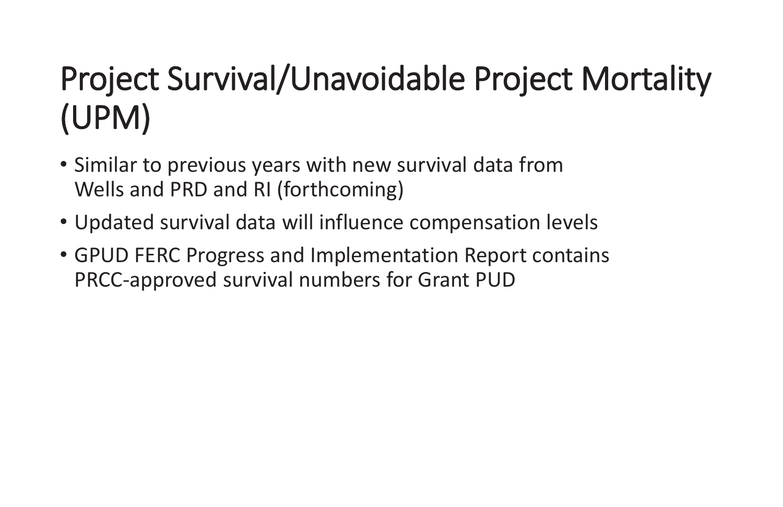# Project Survival/Unavoidable Project Mortality (UPM)

- Similar to previous years with new survival data from Wells and PRD and RI (forthcoming)
- Updated survival data will influence compensation levels
- GPUD FERC Progress and Implementation Report contains PRCC-approved survival numbers for Grant PUD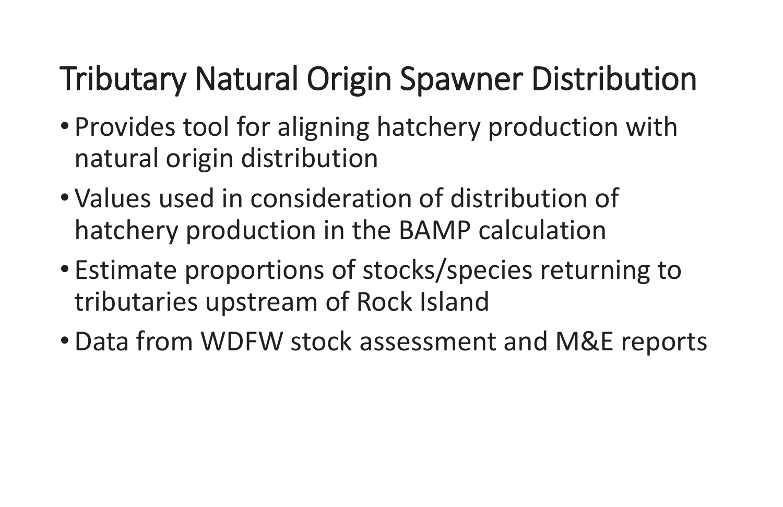# Tributary Natural Origin Spawner Distribution

- $\bullet$  Provides tool for aligning hatchery production with natural origin distribution
- $\bullet$  Values used in consideration of distribution of hatchery production in the BAMP calculation  $\bullet$ Estimate proportions of stocks/species returning to
- tributaries upstream of Rock Island
- •Data from WDFW stock assessment and M&E reports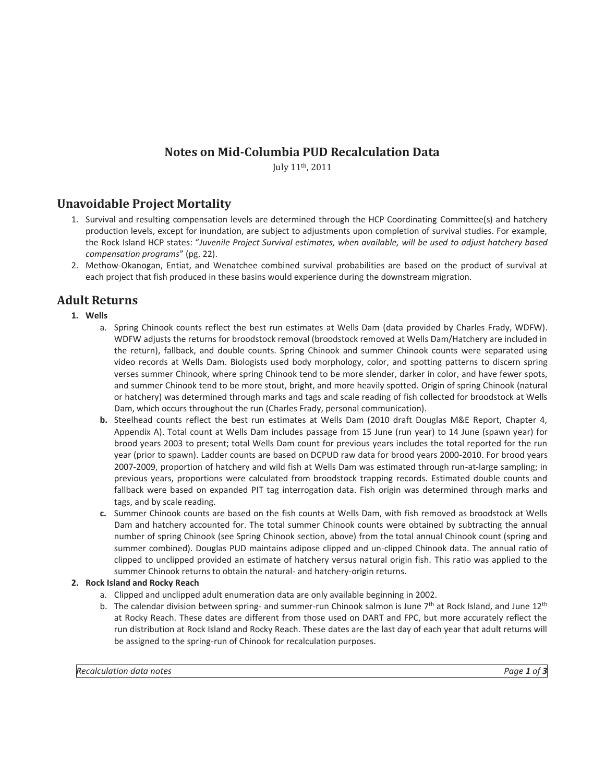### **Notes on Mid-Columbia PUD Recalculation Data**

July 11th, 2011

### **Unavoidable Project Mortality**

- 1. Survival and resulting compensation levels are determined through the HCP Coordinating Committee(s) and hatchery production levels, except for inundation, are subject to adjustments upon completion of survival studies. For example, the Rock Island HCP states: "*Juvenile Project Survival estimates, when available, will be used to adjust hatchery based compensation programs*" (pg. 22).
- 2. Methow-Okanogan, Entiat, and Wenatchee combined survival probabilities are based on the product of survival at each project that fish produced in these basins would experience during the downstream migration.

### **Adult Returns**

**1. Wells** 

- a. Spring Chinook counts reflect the best run estimates at Wells Dam (data provided by Charles Frady, WDFW). WDFW adjusts the returns for broodstock removal (broodstock removed at Wells Dam/Hatchery are included in the return), fallback, and double counts. Spring Chinook and summer Chinook counts were separated using video records at Wells Dam. Biologists used body morphology, color, and spotting patterns to discern spring verses summer Chinook, where spring Chinook tend to be more slender, darker in color, and have fewer spots, and summer Chinook tend to be more stout, bright, and more heavily spotted. Origin of spring Chinook (natural or hatchery) was determined through marks and tags and scale reading of fish collected for broodstock at Wells Dam, which occurs throughout the run (Charles Frady, personal communication).
- **b.** Steelhead counts reflect the best run estimates at Wells Dam (2010 draft Douglas M&E Report, Chapter 4, Appendix A). Total count at Wells Dam includes passage from 15 June (run year) to 14 June (spawn year) for brood years 2003 to present; total Wells Dam count for previous years includes the total reported for the run year (prior to spawn). Ladder counts are based on DCPUD raw data for brood years 2000-2010. For brood years 2007-2009, proportion of hatchery and wild fish at Wells Dam was estimated through run-at-large sampling; in previous years, proportions were calculated from broodstock trapping records. Estimated double counts and fallback were based on expanded PIT tag interrogation data. Fish origin was determined through marks and tags, and by scale reading.
- **c.** Summer Chinook counts are based on the fish counts at Wells Dam, with fish removed as broodstock at Wells Dam and hatchery accounted for. The total summer Chinook counts were obtained by subtracting the annual number of spring Chinook (see Spring Chinook section, above) from the total annual Chinook count (spring and summer combined). Douglas PUD maintains adipose clipped and un-clipped Chinook data. The annual ratio of clipped to unclipped provided an estimate of hatchery versus natural origin fish. This ratio was applied to the summer Chinook returns to obtain the natural- and hatchery-origin returns.

#### **2. Rock Island and Rocky Reach**

- a. Clipped and unclipped adult enumeration data are only available beginning in 2002.
- b. The calendar division between spring- and summer-run Chinook salmon is June  $7<sup>th</sup>$  at Rock Island, and June  $12<sup>th</sup>$ at Rocky Reach. These dates are different from those used on DART and FPC, but more accurately reflect the run distribution at Rock Island and Rocky Reach. These dates are the last day of each year that adult returns will be assigned to the spring-run of Chinook for recalculation purposes.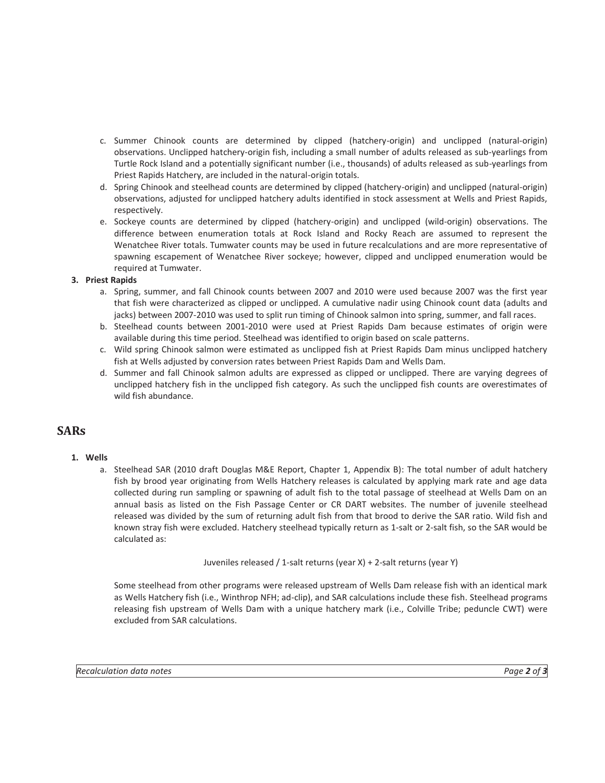- c. Summer Chinook counts are determined by clipped (hatchery-origin) and unclipped (natural-origin) observations. Unclipped hatchery-origin fish, including a small number of adults released as sub-yearlings from Turtle Rock Island and a potentially significant number (i.e., thousands) of adults released as sub-yearlings from Priest Rapids Hatchery, are included in the natural-origin totals.
- d. Spring Chinook and steelhead counts are determined by clipped (hatchery-origin) and unclipped (natural-origin) observations, adjusted for unclipped hatchery adults identified in stock assessment at Wells and Priest Rapids, respectively.
- e. Sockeye counts are determined by clipped (hatchery-origin) and unclipped (wild-origin) observations. The difference between enumeration totals at Rock Island and Rocky Reach are assumed to represent the Wenatchee River totals. Tumwater counts may be used in future recalculations and are more representative of spawning escapement of Wenatchee River sockeye; however, clipped and unclipped enumeration would be required at Tumwater.

#### **3. Priest Rapids**

- a. Spring, summer, and fall Chinook counts between 2007 and 2010 were used because 2007 was the first year that fish were characterized as clipped or unclipped. A cumulative nadir using Chinook count data (adults and jacks) between 2007-2010 was used to split run timing of Chinook salmon into spring, summer, and fall races.
- b. Steelhead counts between 2001-2010 were used at Priest Rapids Dam because estimates of origin were available during this time period. Steelhead was identified to origin based on scale patterns.
- c. Wild spring Chinook salmon were estimated as unclipped fish at Priest Rapids Dam minus unclipped hatchery fish at Wells adjusted by conversion rates between Priest Rapids Dam and Wells Dam.
- d. Summer and fall Chinook salmon adults are expressed as clipped or unclipped. There are varying degrees of unclipped hatchery fish in the unclipped fish category. As such the unclipped fish counts are overestimates of wild fish abundance.

#### **SARs**

#### **1. Wells**

a. Steelhead SAR (2010 draft Douglas M&E Report, Chapter 1, Appendix B): The total number of adult hatchery fish by brood year originating from Wells Hatchery releases is calculated by applying mark rate and age data collected during run sampling or spawning of adult fish to the total passage of steelhead at Wells Dam on an annual basis as listed on the Fish Passage Center or CR DART websites. The number of juvenile steelhead released was divided by the sum of returning adult fish from that brood to derive the SAR ratio. Wild fish and known stray fish were excluded. Hatchery steelhead typically return as 1-salt or 2-salt fish, so the SAR would be calculated as:

Juveniles released / 1-salt returns (year X) + 2-salt returns (year Y)

Some steelhead from other programs were released upstream of Wells Dam release fish with an identical mark as Wells Hatchery fish (i.e., Winthrop NFH; ad-clip), and SAR calculations include these fish. Steelhead programs releasing fish upstream of Wells Dam with a unique hatchery mark (i.e., Colville Tribe; peduncle CWT) were excluded from SAR calculations.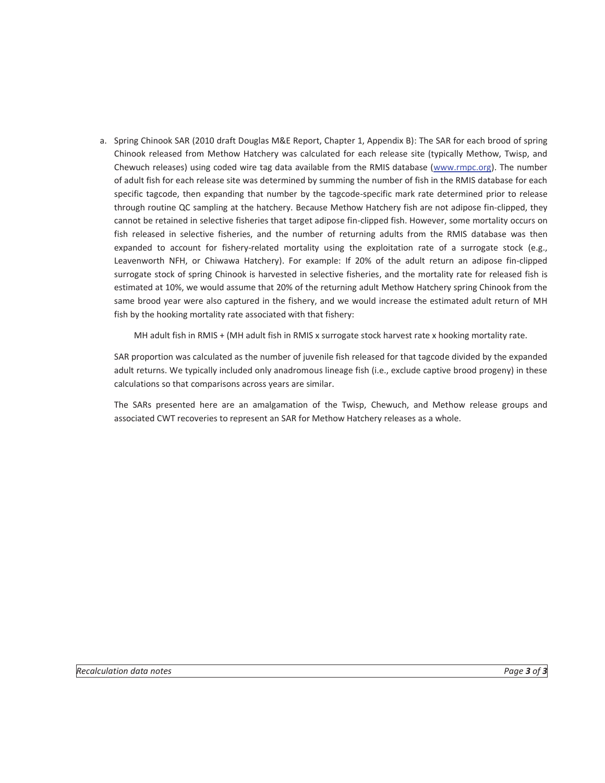a. Spring Chinook SAR (2010 draft Douglas M&E Report, Chapter 1, Appendix B): The SAR for each brood of spring Chinook released from Methow Hatchery was calculated for each release site (typically Methow, Twisp, and Chewuch releases) using coded wire tag data available from the RMIS database (www.rmpc.org). The number of adult fish for each release site was determined by summing the number of fish in the RMIS database for each specific tagcode, then expanding that number by the tagcode-specific mark rate determined prior to release through routine QC sampling at the hatchery. Because Methow Hatchery fish are not adipose fin-clipped, they cannot be retained in selective fisheries that target adipose fin-clipped fish. However, some mortality occurs on fish released in selective fisheries, and the number of returning adults from the RMIS database was then expanded to account for fishery-related mortality using the exploitation rate of a surrogate stock (e.g., Leavenworth NFH, or Chiwawa Hatchery). For example: If 20% of the adult return an adipose fin-clipped surrogate stock of spring Chinook is harvested in selective fisheries, and the mortality rate for released fish is estimated at 10%, we would assume that 20% of the returning adult Methow Hatchery spring Chinook from the same brood year were also captured in the fishery, and we would increase the estimated adult return of MH fish by the hooking mortality rate associated with that fishery:

MH adult fish in RMIS + (MH adult fish in RMIS x surrogate stock harvest rate x hooking mortality rate.

SAR proportion was calculated as the number of juvenile fish released for that tagcode divided by the expanded adult returns. We typically included only anadromous lineage fish (i.e., exclude captive brood progeny) in these calculations so that comparisons across years are similar.

The SARs presented here are an amalgamation of the Twisp, Chewuch, and Methow release groups and associated CWT recoveries to represent an SAR for Methow Hatchery releases as a whole.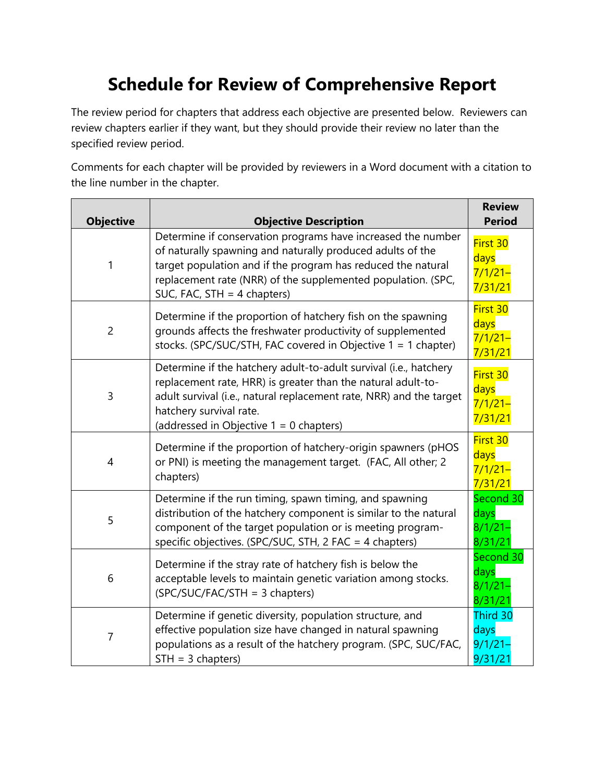## **Schedule for Review of Comprehensive Report**

The review period for chapters that address each objective are presented below. Reviewers can review chapters earlier if they want, but they should provide their review no later than the specified review period.

Comments for each chapter will be provided by reviewers in a Word document with a citation to the line number in the chapter.

| <b>Objective</b> | <b>Objective Description</b>                                                                                                                                                                                                                                                                | <b>Review</b><br><b>Period</b>             |
|------------------|---------------------------------------------------------------------------------------------------------------------------------------------------------------------------------------------------------------------------------------------------------------------------------------------|--------------------------------------------|
| 1                | Determine if conservation programs have increased the number<br>of naturally spawning and naturally produced adults of the<br>target population and if the program has reduced the natural<br>replacement rate (NRR) of the supplemented population. (SPC,<br>SUC, FAC, STH $=$ 4 chapters) | First 30<br>days<br>$7/1/21 -$<br>7/31/21  |
| $\overline{c}$   | Determine if the proportion of hatchery fish on the spawning<br>grounds affects the freshwater productivity of supplemented<br>stocks. (SPC/SUC/STH, FAC covered in Objective 1 = 1 chapter)                                                                                                | First 30<br>days<br>$7/1/21 -$<br>7/31/21  |
| $\overline{3}$   | Determine if the hatchery adult-to-adult survival (i.e., hatchery<br>replacement rate, HRR) is greater than the natural adult-to-<br>adult survival (i.e., natural replacement rate, NRR) and the target<br>hatchery survival rate.<br>(addressed in Objective $1 = 0$ chapters)            | First 30<br>days<br>$7/1/21 -$<br>7/31/21  |
| 4                | Determine if the proportion of hatchery-origin spawners (pHOS<br>or PNI) is meeting the management target. (FAC, All other; 2<br>chapters)                                                                                                                                                  | First 30<br>days<br>$7/1/21 -$<br>7/31/21  |
| 5                | Determine if the run timing, spawn timing, and spawning<br>distribution of the hatchery component is similar to the natural<br>component of the target population or is meeting program-<br>specific objectives. (SPC/SUC, STH, 2 FAC = 4 chapters)                                         | Second 30<br>days<br>$8/1/21 -$<br>8/31/21 |
| 6                | Determine if the stray rate of hatchery fish is below the<br>acceptable levels to maintain genetic variation among stocks.<br>(SPC/SUC/FAC/STH = 3 chapters)                                                                                                                                | Second 30<br>days<br>$8/1/21 -$<br>8/31/21 |
| 7                | Determine if genetic diversity, population structure, and<br>effective population size have changed in natural spawning<br>populations as a result of the hatchery program. (SPC, SUC/FAC,<br>$STH = 3$ chapters)                                                                           | Third 30<br>days<br>$9/1/21 -$<br>9/31/21  |